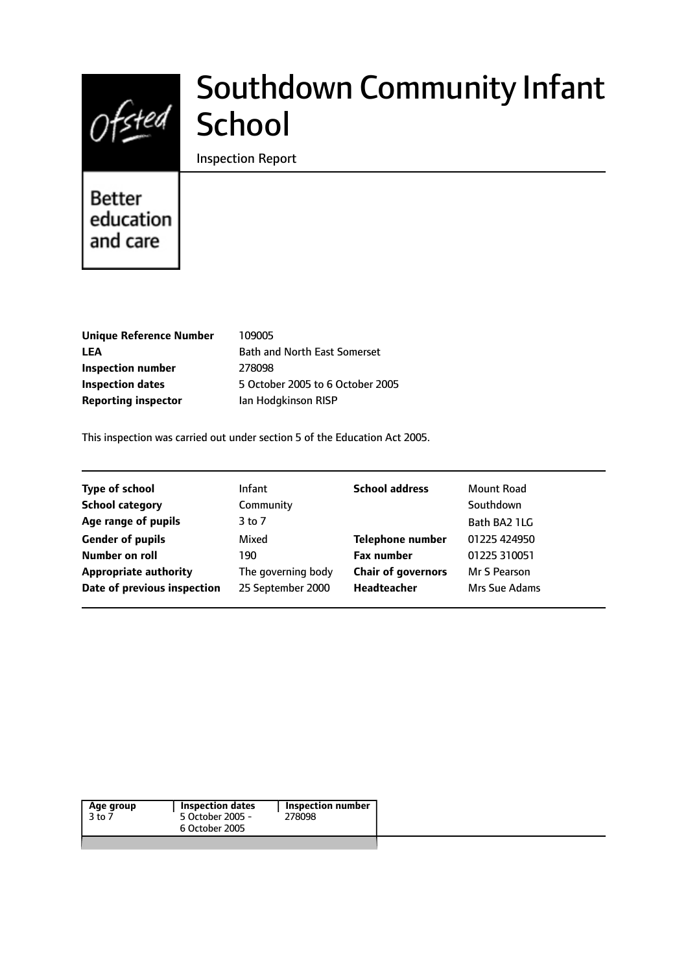

# Southdown Community Infant School

Inspection Report

# **Better** education and care

| <b>Unique Reference Number</b> |
|--------------------------------|
| LEA                            |
| Inspection number              |
| <b>Inspection dates</b>        |
| <b>Reporting inspector</b>     |

**Unique Reference Number** 109005 **Bath and North East Somerset Inspection number** 278098 **Inspection dates** 5 October 2005 to 6 October 2005 **lan Hodgkinson RISP** 

This inspection was carried out under section 5 of the Education Act 2005.

| <b>Type of school</b>        | <b>Infant</b>      | <b>School address</b>     | Mount Road    |
|------------------------------|--------------------|---------------------------|---------------|
| <b>School category</b>       | Community          |                           | Southdown     |
| Age range of pupils          | $3$ to $7$         |                           | Bath BA2 1LG  |
| <b>Gender of pupils</b>      | Mixed              | <b>Telephone number</b>   | 01225 424950  |
| Number on roll               | 190                | <b>Fax number</b>         | 01225 310051  |
| <b>Appropriate authority</b> | The governing body | <b>Chair of governors</b> | Mr S Pearson  |
| Date of previous inspection  | 25 September 2000  | Headteacher               | Mrs Sue Adams |
|                              |                    |                           |               |

| 5 October 2005 -<br>3 to 7 | 278098 |
|----------------------------|--------|
|                            |        |
| 6 October 2005             |        |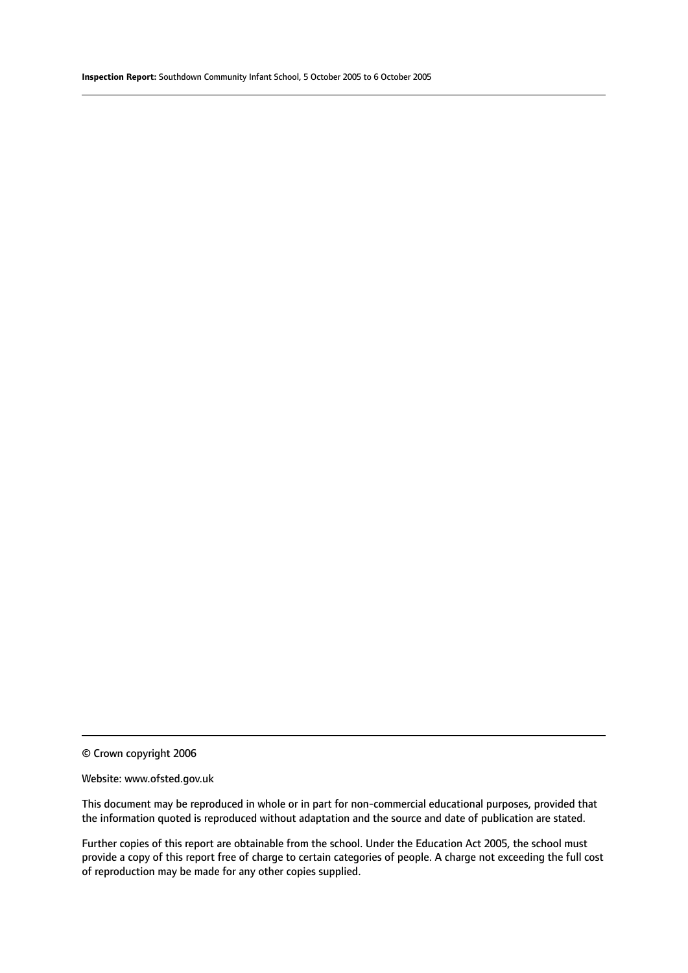#### Website: www.ofsted.gov.uk

This document may be reproduced in whole or in part for non-commercial educational purposes, provided that the information quoted is reproduced without adaptation and the source and date of publication are stated.

Further copies of this report are obtainable from the school. Under the Education Act 2005, the school must provide a copy of this report free of charge to certain categories of people. A charge not exceeding the full cost of reproduction may be made for any other copies supplied.

<sup>©</sup> Crown copyright 2006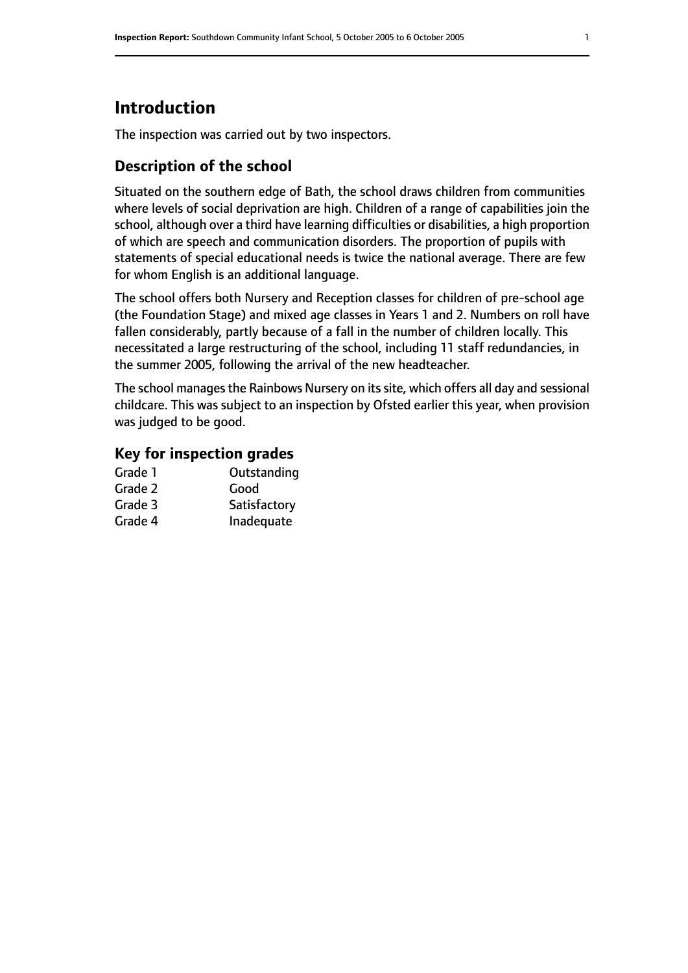# **Introduction**

The inspection was carried out by two inspectors.

## **Description of the school**

Situated on the southern edge of Bath, the school draws children from communities where levels of social deprivation are high. Children of a range of capabilities join the school, although over a third have learning difficulties or disabilities, a high proportion of which are speech and communication disorders. The proportion of pupils with statements of special educational needs is twice the national average. There are few for whom English is an additional language.

The school offers both Nursery and Reception classes for children of pre-school age (the Foundation Stage) and mixed age classes in Years 1 and 2. Numbers on roll have fallen considerably, partly because of a fall in the number of children locally. This necessitated a large restructuring of the school, including 11 staff redundancies, in the summer 2005, following the arrival of the new headteacher.

The school manages the Rainbows Nursery on its site, which offers all day and sessional childcare. This was subject to an inspection by Ofsted earlier this year, when provision was judged to be good.

## **Key for inspection grades**

| Grade 1 | Outstanding  |
|---------|--------------|
| Grade 2 | Good         |
| Grade 3 | Satisfactory |
| Grade 4 | Inadequate   |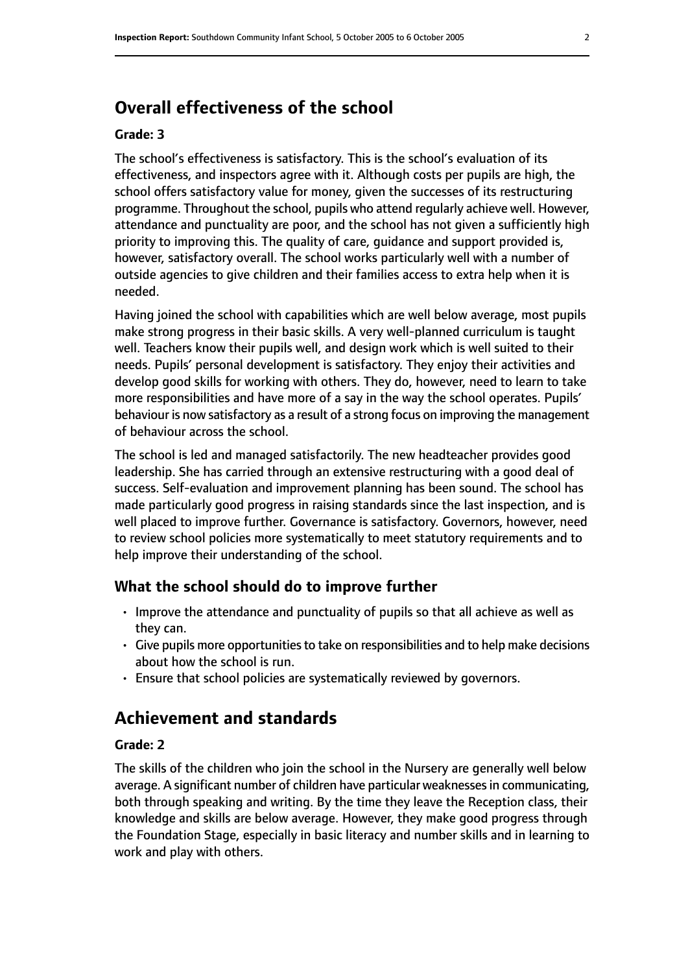# **Overall effectiveness of the school**

#### **Grade: 3**

The school's effectiveness is satisfactory. This is the school's evaluation of its effectiveness, and inspectors agree with it. Although costs per pupils are high, the school offers satisfactory value for money, given the successes of its restructuring programme. Throughout the school, pupils who attend regularly achieve well. However, attendance and punctuality are poor, and the school has not given a sufficiently high priority to improving this. The quality of care, guidance and support provided is, however, satisfactory overall. The school works particularly well with a number of outside agencies to give children and their families access to extra help when it is needed.

Having joined the school with capabilities which are well below average, most pupils make strong progress in their basic skills. A very well-planned curriculum is taught well. Teachers know their pupils well, and design work which is well suited to their needs. Pupils' personal development is satisfactory. They enjoy their activities and develop good skills for working with others. They do, however, need to learn to take more responsibilities and have more of a say in the way the school operates. Pupils' behaviour is now satisfactory as a result of a strong focus on improving the management of behaviour across the school.

The school is led and managed satisfactorily. The new headteacher provides good leadership. She has carried through an extensive restructuring with a good deal of success. Self-evaluation and improvement planning has been sound. The school has made particularly good progress in raising standards since the last inspection, and is well placed to improve further. Governance is satisfactory. Governors, however, need to review school policies more systematically to meet statutory requirements and to help improve their understanding of the school.

#### **What the school should do to improve further**

- Improve the attendance and punctuality of pupils so that all achieve as well as they can.
- Give pupils more opportunitiesto take on responsibilities and to help make decisions about how the school is run.
- Ensure that school policies are systematically reviewed by governors.

# **Achievement and standards**

#### **Grade: 2**

The skills of the children who join the school in the Nursery are generally well below average. A significant number of children have particular weaknesses in communicating, both through speaking and writing. By the time they leave the Reception class, their knowledge and skills are below average. However, they make good progress through the Foundation Stage, especially in basic literacy and number skills and in learning to work and play with others.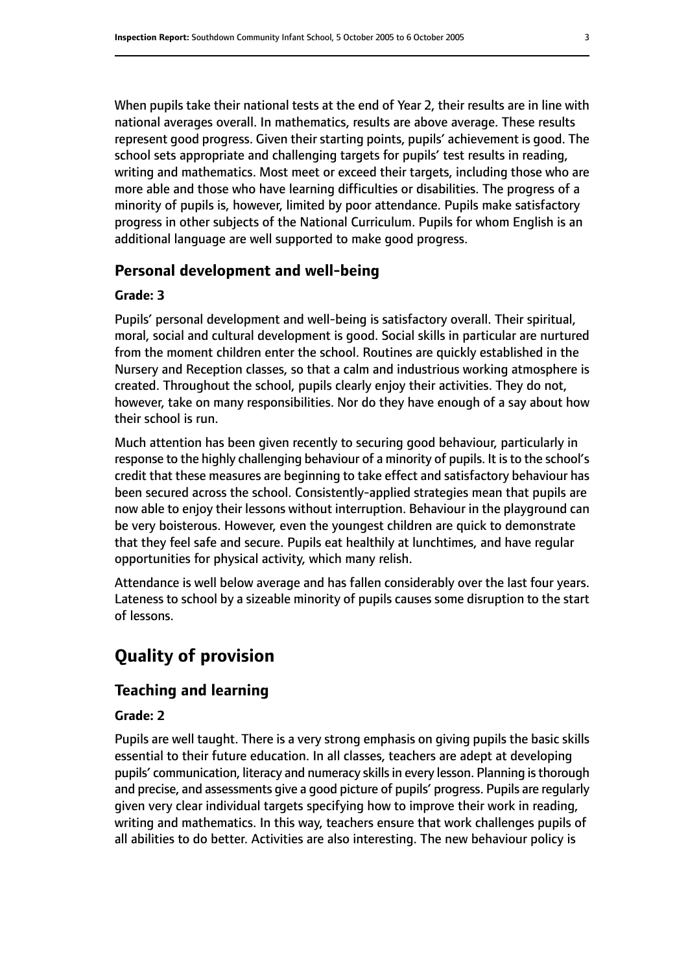When pupils take their national tests at the end of Year 2, their results are in line with national averages overall. In mathematics, results are above average. These results represent good progress. Given their starting points, pupils' achievement is good. The school sets appropriate and challenging targets for pupils' test results in reading, writing and mathematics. Most meet or exceed their targets, including those who are more able and those who have learning difficulties or disabilities. The progress of a minority of pupils is, however, limited by poor attendance. Pupils make satisfactory progress in other subjects of the National Curriculum. Pupils for whom English is an additional language are well supported to make good progress.

#### **Personal development and well-being**

#### **Grade: 3**

Pupils' personal development and well-being is satisfactory overall. Their spiritual, moral, social and cultural development is good. Social skills in particular are nurtured from the moment children enter the school. Routines are quickly established in the Nursery and Reception classes, so that a calm and industrious working atmosphere is created. Throughout the school, pupils clearly enjoy their activities. They do not, however, take on many responsibilities. Nor do they have enough of a say about how their school is run.

Much attention has been given recently to securing good behaviour, particularly in response to the highly challenging behaviour of a minority of pupils. It is to the school's credit that these measures are beginning to take effect and satisfactory behaviour has been secured across the school. Consistently-applied strategies mean that pupils are now able to enjoy their lessons without interruption. Behaviour in the playground can be very boisterous. However, even the youngest children are quick to demonstrate that they feel safe and secure. Pupils eat healthily at lunchtimes, and have regular opportunities for physical activity, which many relish.

Attendance is well below average and has fallen considerably over the last four years. Lateness to school by a sizeable minority of pupils causes some disruption to the start of lessons.

# **Quality of provision**

#### **Teaching and learning**

#### **Grade: 2**

Pupils are well taught. There is a very strong emphasis on giving pupils the basic skills essential to their future education. In all classes, teachers are adept at developing pupils' communication, literacy and numeracy skills in every lesson. Planning is thorough and precise, and assessments give a good picture of pupils' progress. Pupils are regularly given very clear individual targets specifying how to improve their work in reading, writing and mathematics. In this way, teachers ensure that work challenges pupils of all abilities to do better. Activities are also interesting. The new behaviour policy is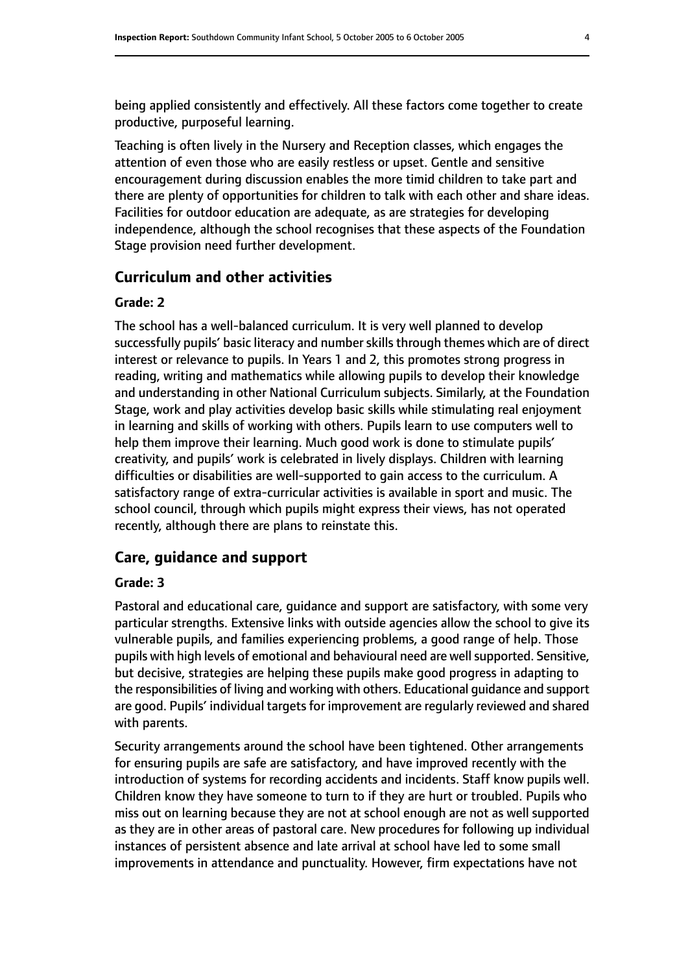being applied consistently and effectively. All these factors come together to create productive, purposeful learning.

Teaching is often lively in the Nursery and Reception classes, which engages the attention of even those who are easily restless or upset. Gentle and sensitive encouragement during discussion enables the more timid children to take part and there are plenty of opportunities for children to talk with each other and share ideas. Facilities for outdoor education are adequate, as are strategies for developing independence, although the school recognises that these aspects of the Foundation Stage provision need further development.

#### **Curriculum and other activities**

#### **Grade: 2**

The school has a well-balanced curriculum. It is very well planned to develop successfully pupils' basic literacy and number skills through themes which are of direct interest or relevance to pupils. In Years 1 and 2, this promotes strong progress in reading, writing and mathematics while allowing pupils to develop their knowledge and understanding in other National Curriculum subjects. Similarly, at the Foundation Stage, work and play activities develop basic skills while stimulating real enjoyment in learning and skills of working with others. Pupils learn to use computers well to help them improve their learning. Much good work is done to stimulate pupils' creativity, and pupils' work is celebrated in lively displays. Children with learning difficulties or disabilities are well-supported to gain access to the curriculum. A satisfactory range of extra-curricular activities is available in sport and music. The school council, through which pupils might express their views, has not operated recently, although there are plans to reinstate this.

#### **Care, guidance and support**

#### **Grade: 3**

Pastoral and educational care, guidance and support are satisfactory, with some very particular strengths. Extensive links with outside agencies allow the school to give its vulnerable pupils, and families experiencing problems, a good range of help. Those pupils with high levels of emotional and behavioural need are well supported. Sensitive, but decisive, strategies are helping these pupils make good progress in adapting to the responsibilities of living and working with others. Educational guidance and support are good. Pupils' individual targets for improvement are regularly reviewed and shared with parents.

Security arrangements around the school have been tightened. Other arrangements for ensuring pupils are safe are satisfactory, and have improved recently with the introduction of systems for recording accidents and incidents. Staff know pupils well. Children know they have someone to turn to if they are hurt or troubled. Pupils who miss out on learning because they are not at school enough are not as well supported as they are in other areas of pastoral care. New procedures for following up individual instances of persistent absence and late arrival at school have led to some small improvements in attendance and punctuality. However, firm expectations have not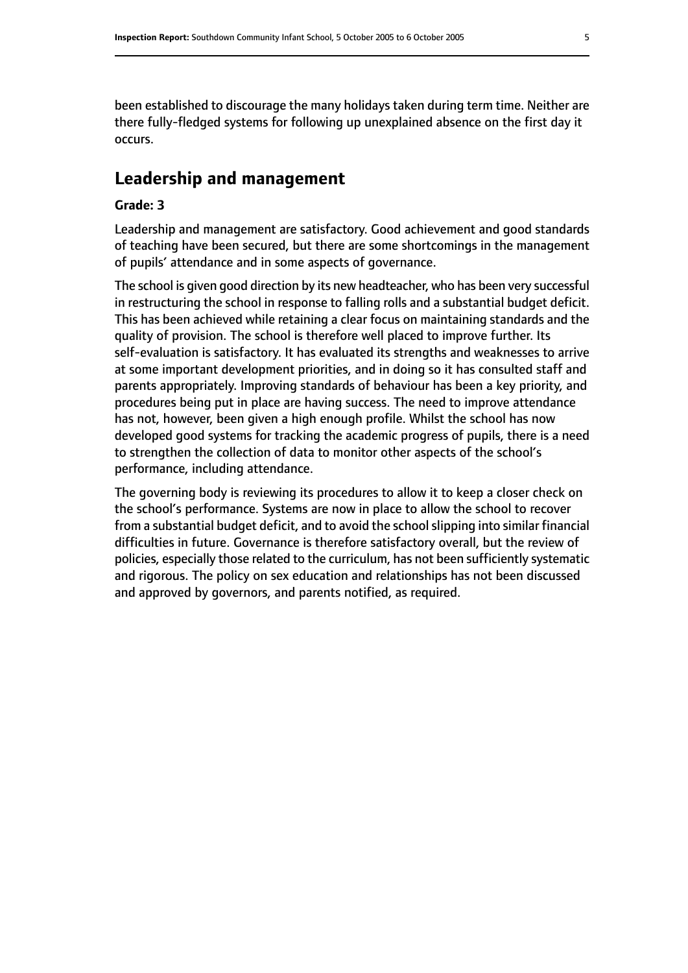been established to discourage the many holidays taken during term time. Neither are there fully-fledged systems for following up unexplained absence on the first day it occurs.

# **Leadership and management**

#### **Grade: 3**

Leadership and management are satisfactory. Good achievement and good standards of teaching have been secured, but there are some shortcomings in the management of pupils' attendance and in some aspects of governance.

The school is given good direction by its new headteacher, who has been very successful in restructuring the school in response to falling rolls and a substantial budget deficit. This has been achieved while retaining a clear focus on maintaining standards and the quality of provision. The school is therefore well placed to improve further. Its self-evaluation is satisfactory. It has evaluated its strengths and weaknesses to arrive at some important development priorities, and in doing so it has consulted staff and parents appropriately. Improving standards of behaviour has been a key priority, and procedures being put in place are having success. The need to improve attendance has not, however, been given a high enough profile. Whilst the school has now developed good systems for tracking the academic progress of pupils, there is a need to strengthen the collection of data to monitor other aspects of the school's performance, including attendance.

The governing body is reviewing its procedures to allow it to keep a closer check on the school's performance. Systems are now in place to allow the school to recover from a substantial budget deficit, and to avoid the school slipping into similar financial difficulties in future. Governance is therefore satisfactory overall, but the review of policies, especially those related to the curriculum, has not been sufficiently systematic and rigorous. The policy on sex education and relationships has not been discussed and approved by governors, and parents notified, as required.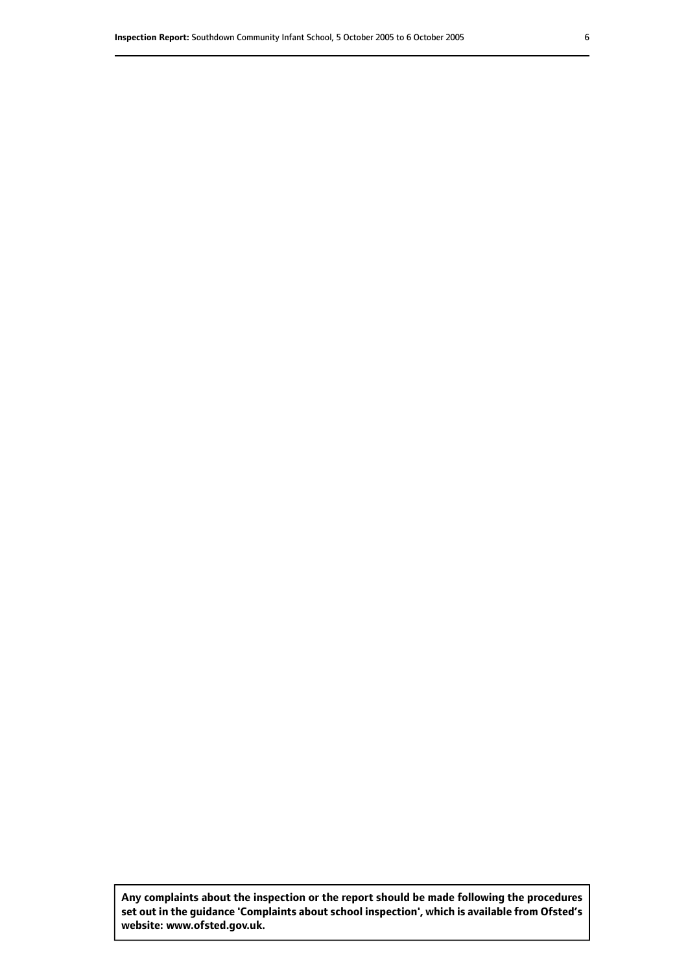**Any complaints about the inspection or the report should be made following the procedures set out inthe guidance 'Complaints about school inspection', whichis available from Ofsted's website: www.ofsted.gov.uk.**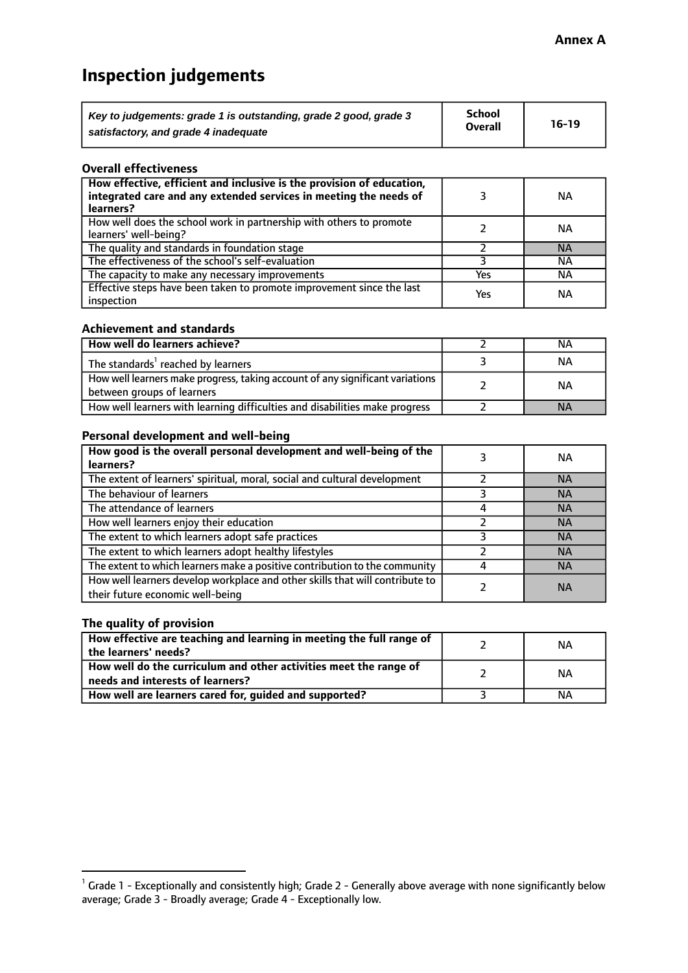# **Inspection judgements**

| Key to judgements: grade 1 is outstanding, grade 2 good, grade 3 | School         | $16-19$ |
|------------------------------------------------------------------|----------------|---------|
| satisfactory, and grade 4 inadequate                             | <b>Overall</b> |         |

#### **Overall effectiveness**

| How effective, efficient and inclusive is the provision of education,<br>integrated care and any extended services in meeting the needs of<br>learners? |     | <b>NA</b> |
|---------------------------------------------------------------------------------------------------------------------------------------------------------|-----|-----------|
| How well does the school work in partnership with others to promote<br>learners' well-being?                                                            |     | ΝA        |
| The quality and standards in foundation stage                                                                                                           |     | <b>NA</b> |
| The effectiveness of the school's self-evaluation                                                                                                       |     | ΝA        |
| The capacity to make any necessary improvements                                                                                                         | Yes | NА        |
| Effective steps have been taken to promote improvement since the last<br>inspection                                                                     | Yes | <b>NA</b> |

#### **Achievement and standards**

| How well do learners achieve?                                                                               | ΝA        |
|-------------------------------------------------------------------------------------------------------------|-----------|
| The standards <sup>1</sup> reached by learners                                                              | NА        |
| How well learners make progress, taking account of any significant variations<br>between groups of learners | <b>NA</b> |
| How well learners with learning difficulties and disabilities make progress                                 | <b>NA</b> |

#### **Personal development and well-being**

| How good is the overall personal development and well-being of the<br>learners?                                  | ΝA        |
|------------------------------------------------------------------------------------------------------------------|-----------|
| The extent of learners' spiritual, moral, social and cultural development                                        | <b>NA</b> |
| The behaviour of learners                                                                                        | <b>NA</b> |
| The attendance of learners                                                                                       | <b>NA</b> |
| How well learners enjoy their education                                                                          | <b>NA</b> |
| The extent to which learners adopt safe practices                                                                | <b>NA</b> |
| The extent to which learners adopt healthy lifestyles                                                            | <b>NA</b> |
| The extent to which learners make a positive contribution to the community                                       | <b>NA</b> |
| How well learners develop workplace and other skills that will contribute to<br>their future economic well-being | <b>NA</b> |

### **The quality of provision**

| How effective are teaching and learning in meeting the full range of<br>the learners' needs?          | ΝA |
|-------------------------------------------------------------------------------------------------------|----|
| How well do the curriculum and other activities meet the range of<br>needs and interests of learners? | ΝA |
| How well are learners cared for, guided and supported?                                                | NА |

 $^1$  Grade 1 - Exceptionally and consistently high; Grade 2 - Generally above average with none significantly below average; Grade 3 - Broadly average; Grade 4 - Exceptionally low.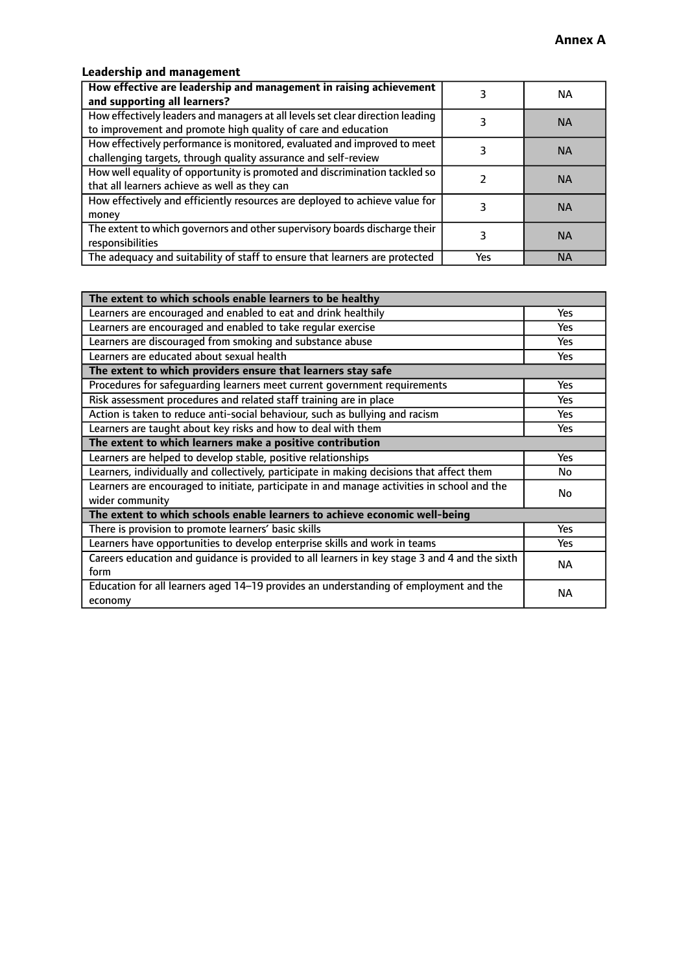# **Leadership and management**

| How effective are leadership and management in raising achievement<br>and supporting all learners?                                              |     | NA.       |
|-------------------------------------------------------------------------------------------------------------------------------------------------|-----|-----------|
| How effectively leaders and managers at all levels set clear direction leading<br>to improvement and promote high quality of care and education |     | <b>NA</b> |
| How effectively performance is monitored, evaluated and improved to meet<br>challenging targets, through quality assurance and self-review      |     | <b>NA</b> |
| How well equality of opportunity is promoted and discrimination tackled so<br>that all learners achieve as well as they can                     |     | <b>NA</b> |
| How effectively and efficiently resources are deployed to achieve value for<br>money                                                            |     | <b>NA</b> |
| The extent to which governors and other supervisory boards discharge their<br>responsibilities                                                  |     | <b>NA</b> |
| The adequacy and suitability of staff to ensure that learners are protected                                                                     | Yes | <b>NA</b> |

| The extent to which schools enable learners to be healthy                                     |            |  |
|-----------------------------------------------------------------------------------------------|------------|--|
| Learners are encouraged and enabled to eat and drink healthily                                | Yes        |  |
| Learners are encouraged and enabled to take regular exercise                                  | Yes        |  |
| Learners are discouraged from smoking and substance abuse                                     | <b>Yes</b> |  |
| Learners are educated about sexual health                                                     | <b>Yes</b> |  |
| The extent to which providers ensure that learners stay safe                                  |            |  |
| Procedures for safequarding learners meet current government requirements                     | Yes        |  |
| Risk assessment procedures and related staff training are in place                            | Yes        |  |
| Action is taken to reduce anti-social behaviour, such as bullying and racism                  | <b>Yes</b> |  |
| Learners are taught about key risks and how to deal with them                                 | Yes        |  |
| The extent to which learners make a positive contribution                                     |            |  |
| Learners are helped to develop stable, positive relationships                                 | Yes        |  |
| Learners, individually and collectively, participate in making decisions that affect them     | No         |  |
| Learners are encouraged to initiate, participate in and manage activities in school and the   |            |  |
| wider community                                                                               |            |  |
| The extent to which schools enable learners to achieve economic well-being                    |            |  |
| There is provision to promote learners' basic skills                                          | Yes        |  |
| Learners have opportunities to develop enterprise skills and work in teams                    | Yes        |  |
| Careers education and quidance is provided to all learners in key stage 3 and 4 and the sixth | <b>NA</b>  |  |
| form                                                                                          |            |  |
| Education for all learners aged 14-19 provides an understanding of employment and the         | <b>NA</b>  |  |
| economy                                                                                       |            |  |